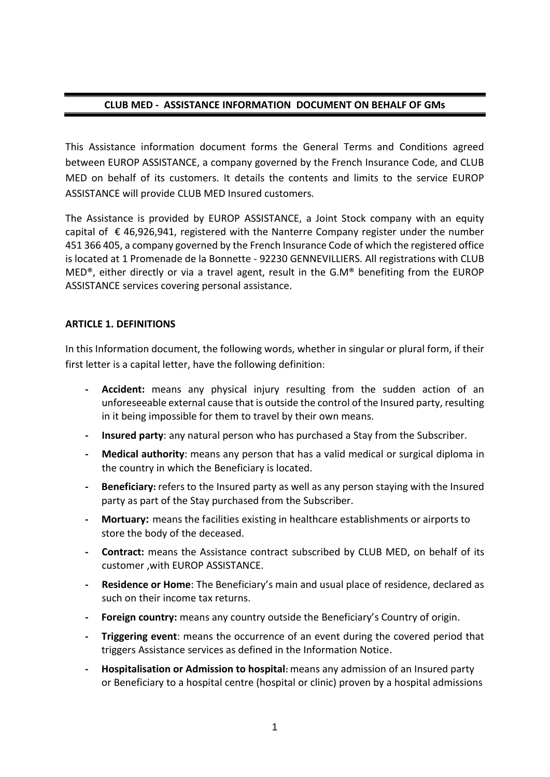#### **CLUB MED - ASSISTANCE INFORMATION DOCUMENT ON BEHALF OF GMs**

This Assistance information document forms the General Terms and Conditions agreed between EUROP ASSISTANCE, a company governed by the French Insurance Code, and CLUB MED on behalf of its customers. It details the contents and limits to the service EUROP ASSISTANCE will provide CLUB MED Insured customers.

The Assistance is provided by EUROP ASSISTANCE, a Joint Stock company with an equity capital of  $\epsilon$  46,926,941, registered with the Nanterre Company register under the number 451 366 405, a company governed by the French Insurance Code of which the registered office is located at 1 Promenade de la Bonnette - 92230 GENNEVILLIERS. All registrations with CLUB MED®, either directly or via a travel agent, result in the G.M® benefiting from the EUROP ASSISTANCE services covering personal assistance.

#### **ARTICLE 1. DEFINITIONS**

In this Information document, the following words, whether in singular or plural form, if their first letter is a capital letter, have the following definition:

- **- Accident:** means any physical injury resulting from the sudden action of an unforeseeable external cause that is outside the control of the Insured party, resulting in it being impossible for them to travel by their own means.
- **- Insured party**: any natural person who has purchased a Stay from the Subscriber.
- **- Medical authority**: means any person that has a valid medical or surgical diploma in the country in which the Beneficiary is located.
- **- Beneficiary:** refers to the Insured party as well as any person staying with the Insured party as part of the Stay purchased from the Subscriber.
- **- Mortuary:** means the facilities existing in healthcare establishments or airports to store the body of the deceased.
- **- Contract:** means the Assistance contract subscribed by CLUB MED, on behalf of its customer ,with EUROP ASSISTANCE.
- **- Residence or Home**: The Beneficiary's main and usual place of residence, declared as such on their income tax returns.
- **- Foreign country:** means any country outside the Beneficiary's Country of origin.
- **- Triggering event**: means the occurrence of an event during the covered period that triggers Assistance services as defined in the Information Notice.
- **- Hospitalisation or Admission to hospital:** means any admission of an Insured party or Beneficiary to a hospital centre (hospital or clinic) proven by a hospital admissions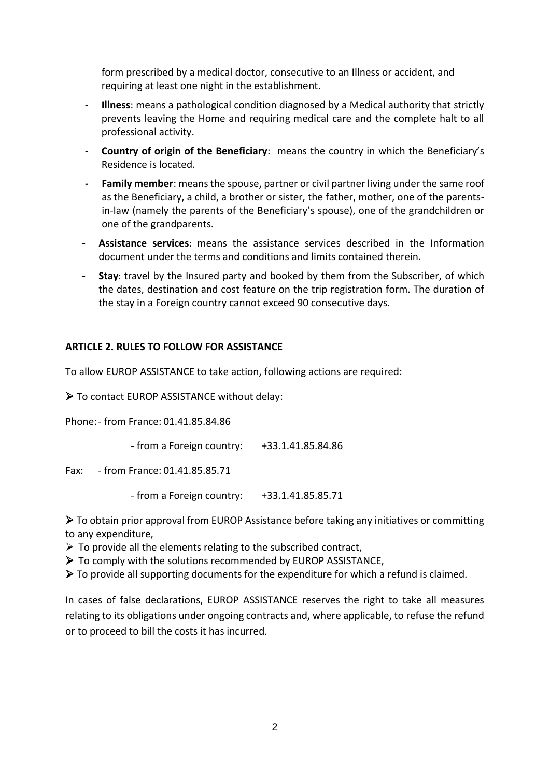form prescribed by a medical doctor, consecutive to an Illness or accident, and requiring at least one night in the establishment.

- **- Illness**: means a pathological condition diagnosed by a Medical authority that strictly prevents leaving the Home and requiring medical care and the complete halt to all professional activity.
- **- Country of origin of the Beneficiary**: means the country in which the Beneficiary's Residence is located.
- **- Family member**: means the spouse, partner or civil partner living under the same roof as the Beneficiary, a child, a brother or sister, the father, mother, one of the parentsin-law (namely the parents of the Beneficiary's spouse), one of the grandchildren or one of the grandparents.
- **- Assistance services:** means the assistance services described in the Information document under the terms and conditions and limits contained therein.
- **- Stay**: travel by the Insured party and booked by them from the Subscriber, of which the dates, destination and cost feature on the trip registration form. The duration of the stay in a Foreign country cannot exceed 90 consecutive days.

### **ARTICLE 2. RULES TO FOLLOW FOR ASSISTANCE**

To allow EUROP ASSISTANCE to take action, following actions are required:

To contact EUROP ASSISTANCE without delay:

Phone:- from France: 01.41.85.84.86

- from a Foreign country: +33.1.41.85.84.86

Fax: - from France: 01.41.85.85.71

- from a Foreign country: +33.1.41.85.85.71

 To obtain prior approval from EUROP Assistance before taking any initiatives or committing to any expenditure,

- $\triangleright$  To provide all the elements relating to the subscribed contract,
- $\triangleright$  To comply with the solutions recommended by EUROP ASSISTANCE,
- $\triangleright$  To provide all supporting documents for the expenditure for which a refund is claimed.

In cases of false declarations, EUROP ASSISTANCE reserves the right to take all measures relating to its obligations under ongoing contracts and, where applicable, to refuse the refund or to proceed to bill the costs it has incurred.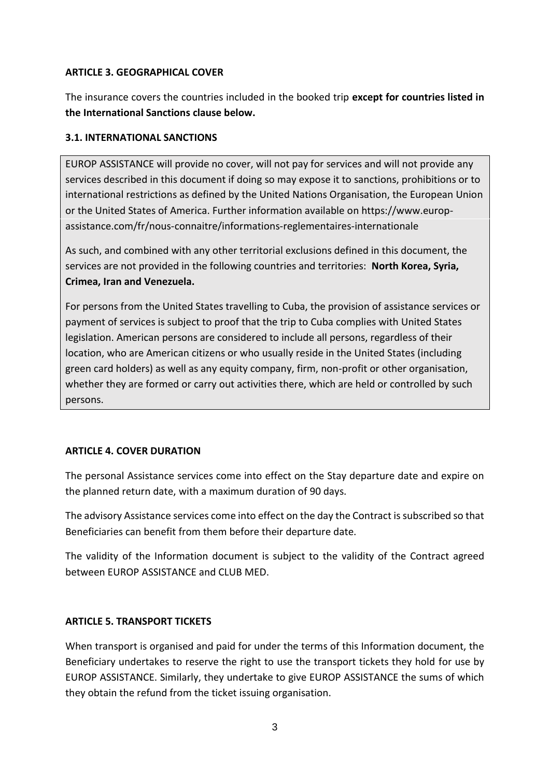#### **ARTICLE 3. GEOGRAPHICAL COVER**

The insurance covers the countries included in the booked trip **except for countries listed in the International Sanctions clause below.**

#### **3.1. INTERNATIONAL SANCTIONS**

EUROP ASSISTANCE will provide no cover, will not pay for services and will not provide any services described in this document if doing so may expose it to sanctions, prohibitions or to international restrictions as defined by the United Nations Organisation, the European Union or the United States of America. Further information available on https://www.europassistance.com/fr/nous-connaitre/informations-reglementaires-internationale

As such, and combined with any other territorial exclusions defined in this document, the services are not provided in the following countries and territories: **North Korea, Syria, Crimea, Iran and Venezuela.**

For persons from the United States travelling to Cuba, the provision of assistance services or payment of services is subject to proof that the trip to Cuba complies with United States legislation. American persons are considered to include all persons, regardless of their location, who are American citizens or who usually reside in the United States (including green card holders) as well as any equity company, firm, non-profit or other organisation, whether they are formed or carry out activities there, which are held or controlled by such persons.

### **ARTICLE 4. COVER DURATION**

The personal Assistance services come into effect on the Stay departure date and expire on the planned return date, with a maximum duration of 90 days.

The advisory Assistance services come into effect on the day the Contract is subscribed so that Beneficiaries can benefit from them before their departure date.

The validity of the Information document is subject to the validity of the Contract agreed between EUROP ASSISTANCE and CLUB MED.

### **ARTICLE 5. TRANSPORT TICKETS**

When transport is organised and paid for under the terms of this Information document, the Beneficiary undertakes to reserve the right to use the transport tickets they hold for use by EUROP ASSISTANCE. Similarly, they undertake to give EUROP ASSISTANCE the sums of which they obtain the refund from the ticket issuing organisation.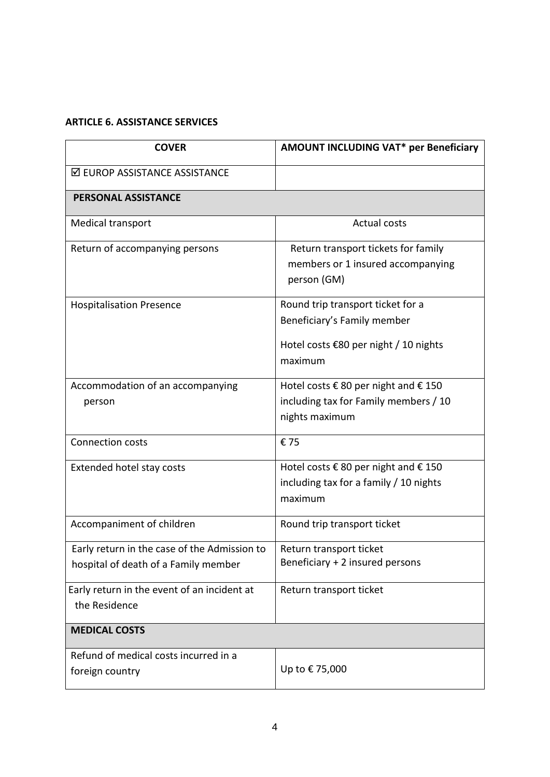# **ARTICLE 6. ASSISTANCE SERVICES**

| <b>COVER</b>                                                                         | <b>AMOUNT INCLUDING VAT* per Beneficiary</b>                                                                         |
|--------------------------------------------------------------------------------------|----------------------------------------------------------------------------------------------------------------------|
| ☑ EUROP ASSISTANCE ASSISTANCE                                                        |                                                                                                                      |
| PERSONAL ASSISTANCE                                                                  |                                                                                                                      |
| Medical transport                                                                    | <b>Actual costs</b>                                                                                                  |
| Return of accompanying persons                                                       | Return transport tickets for family<br>members or 1 insured accompanying<br>person (GM)                              |
| <b>Hospitalisation Presence</b>                                                      | Round trip transport ticket for a<br>Beneficiary's Family member<br>Hotel costs €80 per night / 10 nights<br>maximum |
| Accommodation of an accompanying<br>person                                           | Hotel costs € 80 per night and € 150<br>including tax for Family members / 10<br>nights maximum                      |
| Connection costs                                                                     | €75                                                                                                                  |
| Extended hotel stay costs                                                            | Hotel costs € 80 per night and € 150<br>including tax for a family / 10 nights<br>maximum                            |
| Accompaniment of children                                                            | Round trip transport ticket                                                                                          |
| Early return in the case of the Admission to<br>hospital of death of a Family member | Return transport ticket<br>Beneficiary + 2 insured persons                                                           |
| Early return in the event of an incident at<br>the Residence                         | Return transport ticket                                                                                              |
| <b>MEDICAL COSTS</b>                                                                 |                                                                                                                      |
| Refund of medical costs incurred in a<br>foreign country                             | Up to €75,000                                                                                                        |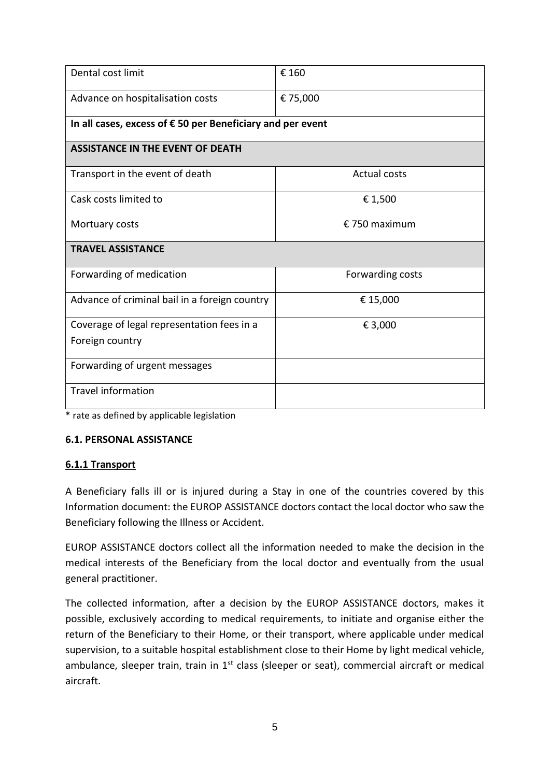| Dental cost limit                                                   | € 160               |  |
|---------------------------------------------------------------------|---------------------|--|
| Advance on hospitalisation costs                                    | € 75,000            |  |
| In all cases, excess of $\epsilon$ 50 per Beneficiary and per event |                     |  |
| <b>ASSISTANCE IN THE EVENT OF DEATH</b>                             |                     |  |
| Transport in the event of death                                     | <b>Actual costs</b> |  |
| Cask costs limited to                                               | € 1,500             |  |
| Mortuary costs                                                      | $£$ 750 maximum     |  |
| <b>TRAVEL ASSISTANCE</b>                                            |                     |  |
| Forwarding of medication                                            | Forwarding costs    |  |
| Advance of criminal bail in a foreign country                       | € 15,000            |  |
| Coverage of legal representation fees in a                          | € 3,000             |  |
| Foreign country                                                     |                     |  |
| Forwarding of urgent messages                                       |                     |  |
| <b>Travel information</b>                                           |                     |  |

\* rate as defined by applicable legislation

#### **6.1. PERSONAL ASSISTANCE**

#### **6.1.1 Transport**

A Beneficiary falls ill or is injured during a Stay in one of the countries covered by this Information document: the EUROP ASSISTANCE doctors contact the local doctor who saw the Beneficiary following the Illness or Accident.

EUROP ASSISTANCE doctors collect all the information needed to make the decision in the medical interests of the Beneficiary from the local doctor and eventually from the usual general practitioner.

The collected information, after a decision by the EUROP ASSISTANCE doctors, makes it possible, exclusively according to medical requirements, to initiate and organise either the return of the Beneficiary to their Home, or their transport, where applicable under medical supervision, to a suitable hospital establishment close to their Home by light medical vehicle, ambulance, sleeper train, train in  $1<sup>st</sup>$  class (sleeper or seat), commercial aircraft or medical aircraft.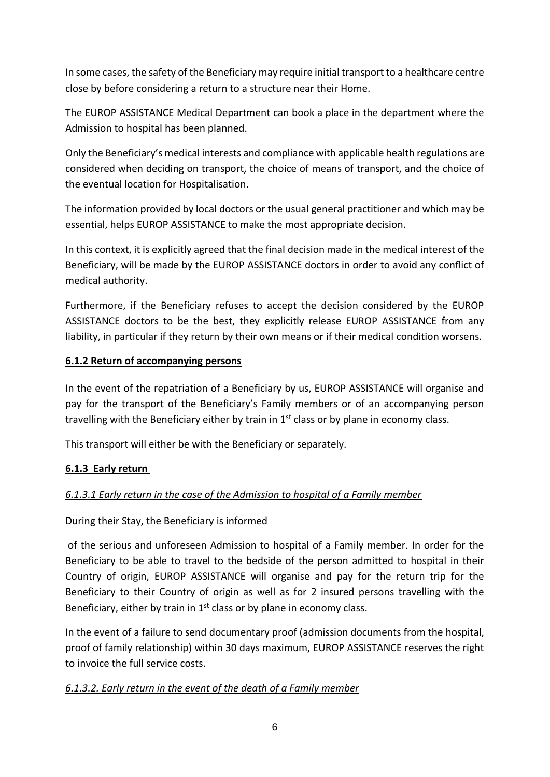In some cases, the safety of the Beneficiary may require initial transport to a healthcare centre close by before considering a return to a structure near their Home.

The EUROP ASSISTANCE Medical Department can book a place in the department where the Admission to hospital has been planned.

Only the Beneficiary's medical interests and compliance with applicable health regulations are considered when deciding on transport, the choice of means of transport, and the choice of the eventual location for Hospitalisation.

The information provided by local doctors or the usual general practitioner and which may be essential, helps EUROP ASSISTANCE to make the most appropriate decision.

In this context, it is explicitly agreed that the final decision made in the medical interest of the Beneficiary, will be made by the EUROP ASSISTANCE doctors in order to avoid any conflict of medical authority.

Furthermore, if the Beneficiary refuses to accept the decision considered by the EUROP ASSISTANCE doctors to be the best, they explicitly release EUROP ASSISTANCE from any liability, in particular if they return by their own means or if their medical condition worsens.

### **6.1.2 Return of accompanying persons**

In the event of the repatriation of a Beneficiary by us, EUROP ASSISTANCE will organise and pay for the transport of the Beneficiary's Family members or of an accompanying person travelling with the Beneficiary either by train in  $1<sup>st</sup>$  class or by plane in economy class.

This transport will either be with the Beneficiary or separately.

## **6.1.3 Early return**

## *6.1.3.1 Early return in the case of the Admission to hospital of a Family member*

### During their Stay, the Beneficiary is informed

of the serious and unforeseen Admission to hospital of a Family member. In order for the Beneficiary to be able to travel to the bedside of the person admitted to hospital in their Country of origin, EUROP ASSISTANCE will organise and pay for the return trip for the Beneficiary to their Country of origin as well as for 2 insured persons travelling with the Beneficiary, either by train in  $1<sup>st</sup>$  class or by plane in economy class.

In the event of a failure to send documentary proof (admission documents from the hospital, proof of family relationship) within 30 days maximum, EUROP ASSISTANCE reserves the right to invoice the full service costs.

### *6.1.3.2. Early return in the event of the death of a Family member*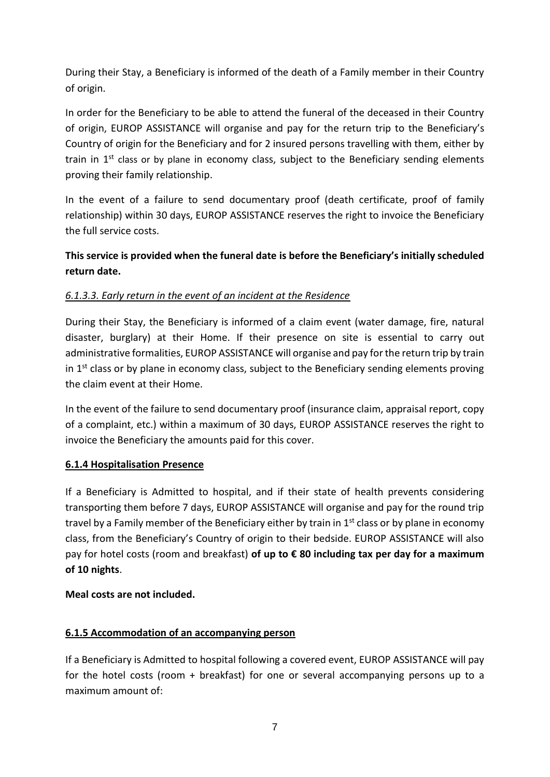During their Stay, a Beneficiary is informed of the death of a Family member in their Country of origin.

In order for the Beneficiary to be able to attend the funeral of the deceased in their Country of origin, EUROP ASSISTANCE will organise and pay for the return trip to the Beneficiary's Country of origin for the Beneficiary and for 2 insured persons travelling with them, either by train in  $1<sup>st</sup>$  class or by plane in economy class, subject to the Beneficiary sending elements proving their family relationship.

In the event of a failure to send documentary proof (death certificate, proof of family relationship) within 30 days, EUROP ASSISTANCE reserves the right to invoice the Beneficiary the full service costs.

# **This service is provided when the funeral date is before the Beneficiary's initially scheduled return date.**

## *6.1.3.3. Early return in the event of an incident at the Residence*

During their Stay, the Beneficiary is informed of a claim event (water damage, fire, natural disaster, burglary) at their Home. If their presence on site is essential to carry out administrative formalities, EUROP ASSISTANCE will organise and pay for the return trip by train in  $1<sup>st</sup>$  class or by plane in economy class, subject to the Beneficiary sending elements proving the claim event at their Home.

In the event of the failure to send documentary proof (insurance claim, appraisal report, copy of a complaint, etc.) within a maximum of 30 days, EUROP ASSISTANCE reserves the right to invoice the Beneficiary the amounts paid for this cover.

## **6.1.4 Hospitalisation Presence**

If a Beneficiary is Admitted to hospital, and if their state of health prevents considering transporting them before 7 days, EUROP ASSISTANCE will organise and pay for the round trip travel by a Family member of the Beneficiary either by train in  $1<sup>st</sup>$  class or by plane in economy class, from the Beneficiary's Country of origin to their bedside. EUROP ASSISTANCE will also pay for hotel costs (room and breakfast) **of up to € 80 including tax per day for a maximum of 10 nights**.

## **Meal costs are not included.**

## **6.1.5 Accommodation of an accompanying person**

If a Beneficiary is Admitted to hospital following a covered event, EUROP ASSISTANCE will pay for the hotel costs (room + breakfast) for one or several accompanying persons up to a maximum amount of: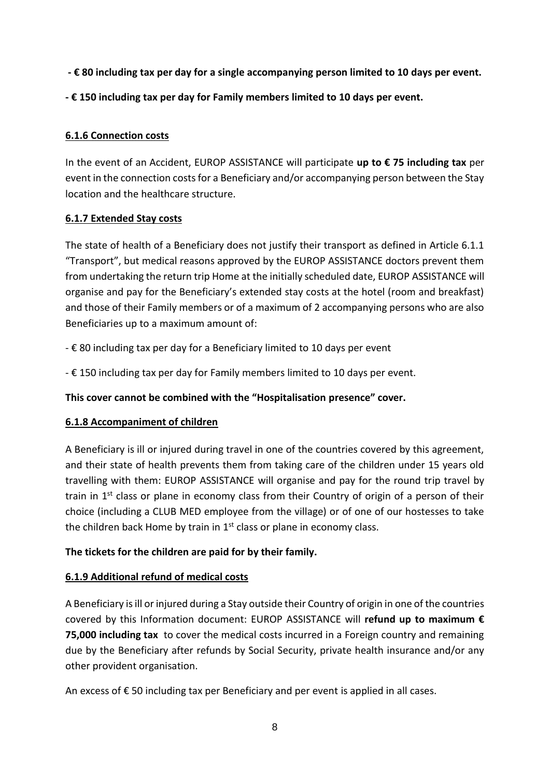- **- € 80 including tax per day for a single accompanying person limited to 10 days per event.**
- **- € 150 including tax per day for Family members limited to 10 days per event.**

## **6.1.6 Connection costs**

In the event of an Accident, EUROP ASSISTANCE will participate **up to € 75 including tax** per event in the connection costs for a Beneficiary and/or accompanying person between the Stay location and the healthcare structure.

### **6.1.7 Extended Stay costs**

The state of health of a Beneficiary does not justify their transport as defined in Article 6.1.1 "Transport", but medical reasons approved by the EUROP ASSISTANCE doctors prevent them from undertaking the return trip Home at the initially scheduled date, EUROP ASSISTANCE will organise and pay for the Beneficiary's extended stay costs at the hotel (room and breakfast) and those of their Family members or of a maximum of 2 accompanying persons who are also Beneficiaries up to a maximum amount of:

- € 80 including tax per day for a Beneficiary limited to 10 days per event

- € 150 including tax per day for Family members limited to 10 days per event.

## **This cover cannot be combined with the "Hospitalisation presence" cover.**

### **6.1.8 Accompaniment of children**

A Beneficiary is ill or injured during travel in one of the countries covered by this agreement, and their state of health prevents them from taking care of the children under 15 years old travelling with them: EUROP ASSISTANCE will organise and pay for the round trip travel by train in  $1<sup>st</sup>$  class or plane in economy class from their Country of origin of a person of their choice (including a CLUB MED employee from the village) or of one of our hostesses to take the children back Home by train in 1<sup>st</sup> class or plane in economy class.

### **The tickets for the children are paid for by their family.**

## **6.1.9 Additional refund of medical costs**

A Beneficiary is ill or injured during a Stay outside their Country of origin in one of the countries covered by this Information document: EUROP ASSISTANCE will **refund up to maximum € 75,000 including tax** to cover the medical costs incurred in a Foreign country and remaining due by the Beneficiary after refunds by Social Security, private health insurance and/or any other provident organisation.

An excess of € 50 including tax per Beneficiary and per event is applied in all cases.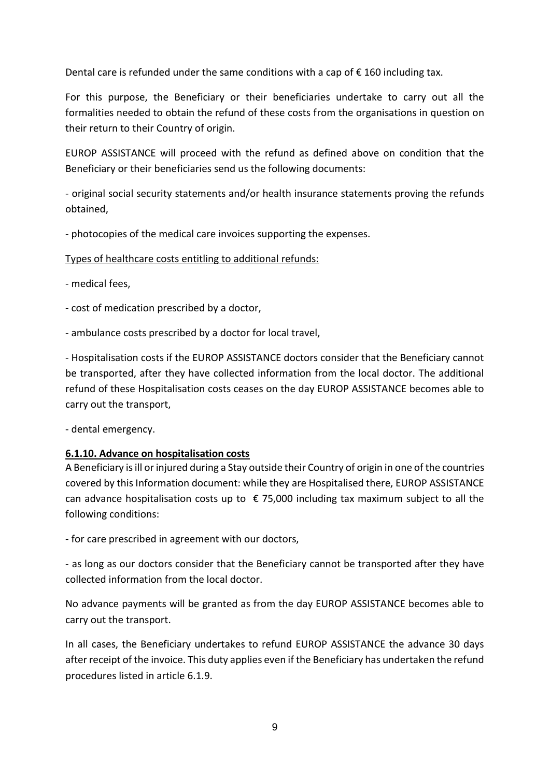Dental care is refunded under the same conditions with a cap of  $\epsilon$  160 including tax.

For this purpose, the Beneficiary or their beneficiaries undertake to carry out all the formalities needed to obtain the refund of these costs from the organisations in question on their return to their Country of origin.

EUROP ASSISTANCE will proceed with the refund as defined above on condition that the Beneficiary or their beneficiaries send us the following documents:

- original social security statements and/or health insurance statements proving the refunds obtained,

- photocopies of the medical care invoices supporting the expenses.

### Types of healthcare costs entitling to additional refunds:

- medical fees,

- cost of medication prescribed by a doctor,

- ambulance costs prescribed by a doctor for local travel,

- Hospitalisation costs if the EUROP ASSISTANCE doctors consider that the Beneficiary cannot be transported, after they have collected information from the local doctor. The additional refund of these Hospitalisation costs ceases on the day EUROP ASSISTANCE becomes able to carry out the transport,

- dental emergency.

### **6.1.10. Advance on hospitalisation costs**

A Beneficiary is ill or injured during a Stay outside their Country of origin in one of the countries covered by this Information document: while they are Hospitalised there, EUROP ASSISTANCE can advance hospitalisation costs up to  $\epsilon$  75,000 including tax maximum subject to all the following conditions:

- for care prescribed in agreement with our doctors,

- as long as our doctors consider that the Beneficiary cannot be transported after they have collected information from the local doctor.

No advance payments will be granted as from the day EUROP ASSISTANCE becomes able to carry out the transport.

In all cases, the Beneficiary undertakes to refund EUROP ASSISTANCE the advance 30 days after receipt of the invoice. This duty applies even if the Beneficiary has undertaken the refund procedures listed in article 6.1.9.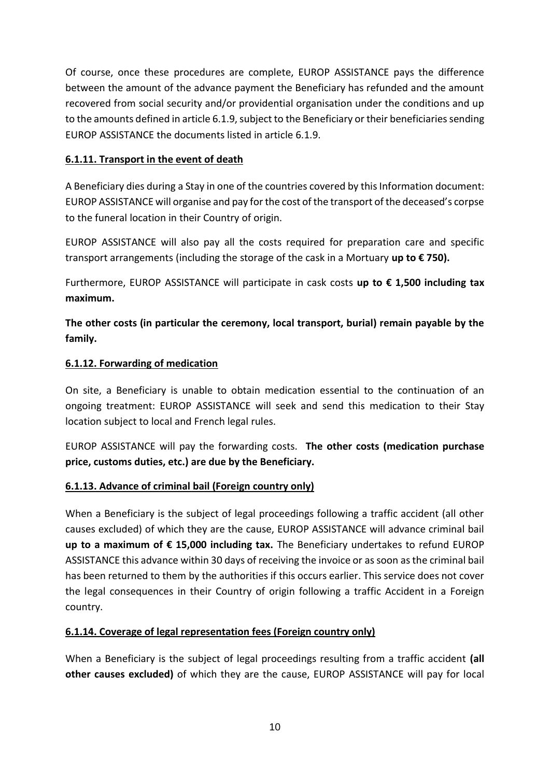Of course, once these procedures are complete, EUROP ASSISTANCE pays the difference between the amount of the advance payment the Beneficiary has refunded and the amount recovered from social security and/or providential organisation under the conditions and up to the amounts defined in article 6.1.9, subject to the Beneficiary or their beneficiaries sending EUROP ASSISTANCE the documents listed in article 6.1.9.

## **6.1.11. Transport in the event of death**

A Beneficiary dies during a Stay in one of the countries covered by this Information document: EUROP ASSISTANCE will organise and pay for the cost of the transport of the deceased's corpse to the funeral location in their Country of origin.

EUROP ASSISTANCE will also pay all the costs required for preparation care and specific transport arrangements (including the storage of the cask in a Mortuary **up to € 750).**

Furthermore, EUROP ASSISTANCE will participate in cask costs **up to € 1,500 including tax maximum.** 

**The other costs (in particular the ceremony, local transport, burial) remain payable by the family.**

### **6.1.12. Forwarding of medication**

On site, a Beneficiary is unable to obtain medication essential to the continuation of an ongoing treatment: EUROP ASSISTANCE will seek and send this medication to their Stay location subject to local and French legal rules.

EUROP ASSISTANCE will pay the forwarding costs. **The other costs (medication purchase price, customs duties, etc.) are due by the Beneficiary.**

### **6.1.13. Advance of criminal bail (Foreign country only)**

When a Beneficiary is the subject of legal proceedings following a traffic accident (all other causes excluded) of which they are the cause, EUROP ASSISTANCE will advance criminal bail **up to a maximum of € 15,000 including tax.** The Beneficiary undertakes to refund EUROP ASSISTANCE this advance within 30 days of receiving the invoice or as soon as the criminal bail has been returned to them by the authorities if this occurs earlier. This service does not cover the legal consequences in their Country of origin following a traffic Accident in a Foreign country.

### **6.1.14. Coverage of legal representation fees (Foreign country only)**

When a Beneficiary is the subject of legal proceedings resulting from a traffic accident **(all other causes excluded)** of which they are the cause, EUROP ASSISTANCE will pay for local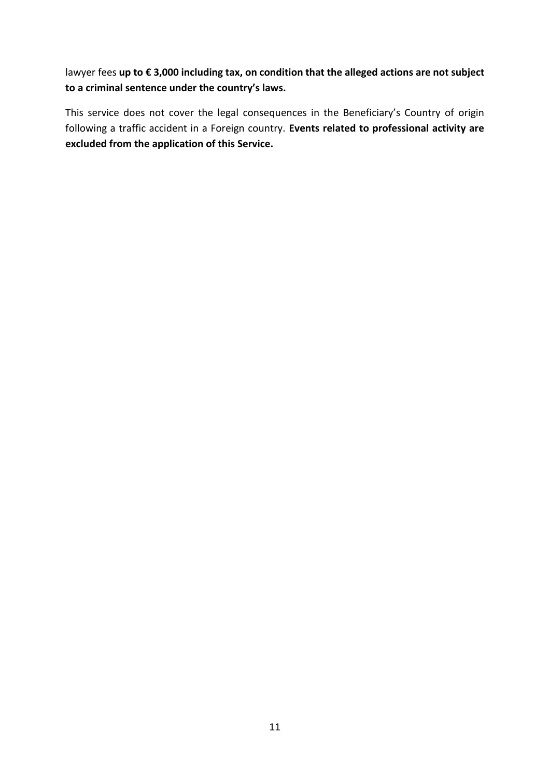lawyer fees **up to € 3,000 including tax, on condition that the alleged actions are not subject to a criminal sentence under the country's laws.**

This service does not cover the legal consequences in the Beneficiary's Country of origin following a traffic accident in a Foreign country. **Events related to professional activity are excluded from the application of this Service.**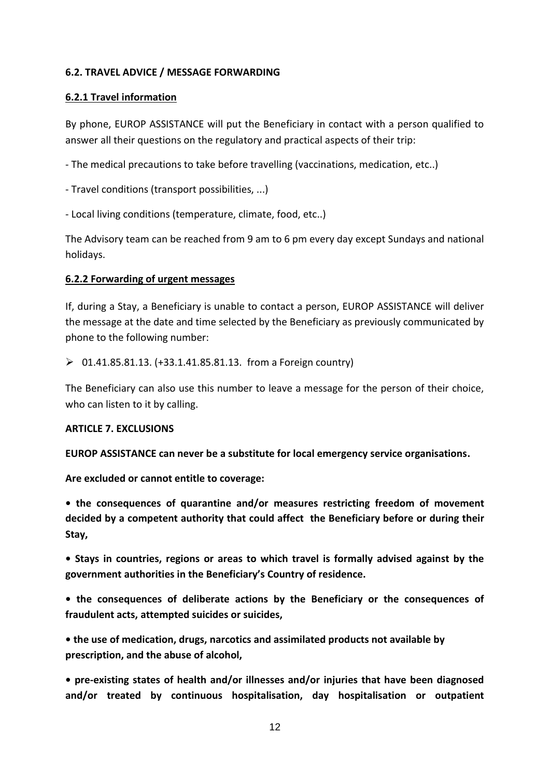#### **6.2. TRAVEL ADVICE / MESSAGE FORWARDING**

#### **6.2.1 Travel information**

By phone, EUROP ASSISTANCE will put the Beneficiary in contact with a person qualified to answer all their questions on the regulatory and practical aspects of their trip:

- The medical precautions to take before travelling (vaccinations, medication, etc..)

- Travel conditions (transport possibilities, ...)
- Local living conditions (temperature, climate, food, etc..)

The Advisory team can be reached from 9 am to 6 pm every day except Sundays and national holidays.

#### **6.2.2 Forwarding of urgent messages**

If, during a Stay, a Beneficiary is unable to contact a person, EUROP ASSISTANCE will deliver the message at the date and time selected by the Beneficiary as previously communicated by phone to the following number:

 $\geq 01.41.85.81.13. (+33.1.41.85.81.13.$  from a Foreign country)

The Beneficiary can also use this number to leave a message for the person of their choice, who can listen to it by calling.

#### **ARTICLE 7. EXCLUSIONS**

**EUROP ASSISTANCE can never be a substitute for local emergency service organisations.**

**Are excluded or cannot entitle to coverage:**

**• the consequences of quarantine and/or measures restricting freedom of movement decided by a competent authority that could affect the Beneficiary before or during their Stay,**

**• Stays in countries, regions or areas to which travel is formally advised against by the government authorities in the Beneficiary's Country of residence.** 

**• the consequences of deliberate actions by the Beneficiary or the consequences of fraudulent acts, attempted suicides or suicides,**

**• the use of medication, drugs, narcotics and assimilated products not available by prescription, and the abuse of alcohol,** 

**• pre-existing states of health and/or illnesses and/or injuries that have been diagnosed and/or treated by continuous hospitalisation, day hospitalisation or outpatient**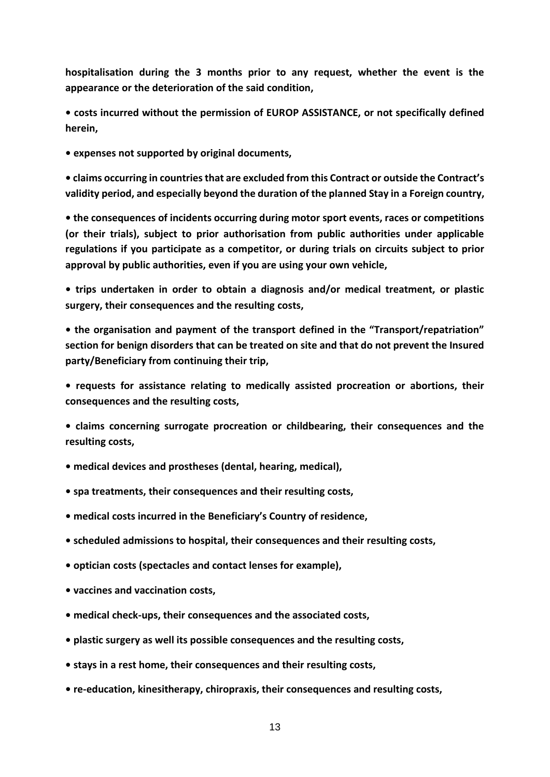**hospitalisation during the 3 months prior to any request, whether the event is the appearance or the deterioration of the said condition,**

**• costs incurred without the permission of EUROP ASSISTANCE, or not specifically defined herein,**

**• expenses not supported by original documents,**

**• claims occurring in countries that are excluded from this Contract or outside the Contract's validity period, and especially beyond the duration of the planned Stay in a Foreign country,**

**• the consequences of incidents occurring during motor sport events, races or competitions (or their trials), subject to prior authorisation from public authorities under applicable regulations if you participate as a competitor, or during trials on circuits subject to prior approval by public authorities, even if you are using your own vehicle,**

**• trips undertaken in order to obtain a diagnosis and/or medical treatment, or plastic surgery, their consequences and the resulting costs,**

**• the organisation and payment of the transport defined in the "Transport/repatriation" section for benign disorders that can be treated on site and that do not prevent the Insured party/Beneficiary from continuing their trip,**

**• requests for assistance relating to medically assisted procreation or abortions, their consequences and the resulting costs,**

**• claims concerning surrogate procreation or childbearing, their consequences and the resulting costs,**

**• medical devices and prostheses (dental, hearing, medical),**

- **spa treatments, their consequences and their resulting costs,**
- **medical costs incurred in the Beneficiary's Country of residence,**
- **scheduled admissions to hospital, their consequences and their resulting costs,**
- **optician costs (spectacles and contact lenses for example),**
- **vaccines and vaccination costs,**
- **medical check-ups, their consequences and the associated costs,**
- **plastic surgery as well its possible consequences and the resulting costs,**
- **stays in a rest home, their consequences and their resulting costs,**
- **re-education, kinesitherapy, chiropraxis, their consequences and resulting costs,**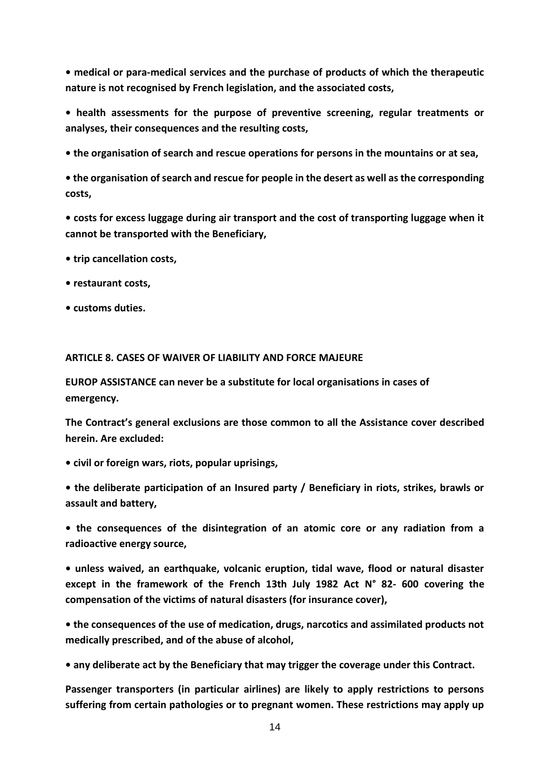**• medical or para-medical services and the purchase of products of which the therapeutic nature is not recognised by French legislation, and the associated costs,**

**• health assessments for the purpose of preventive screening, regular treatments or analyses, their consequences and the resulting costs,** 

**• the organisation of search and rescue operations for persons in the mountains or at sea,**

**• the organisation of search and rescue for people in the desert as well as the corresponding costs,**

**• costs for excess luggage during air transport and the cost of transporting luggage when it cannot be transported with the Beneficiary,**

- **trip cancellation costs,**
- **restaurant costs,**
- **customs duties.**

#### **ARTICLE 8. CASES OF WAIVER OF LIABILITY AND FORCE MAJEURE**

**EUROP ASSISTANCE can never be a substitute for local organisations in cases of emergency.**

**The Contract's general exclusions are those common to all the Assistance cover described herein. Are excluded:** 

- **civil or foreign wars, riots, popular uprisings,**
- **the deliberate participation of an Insured party / Beneficiary in riots, strikes, brawls or assault and battery,**
- **the consequences of the disintegration of an atomic core or any radiation from a radioactive energy source,**

**• unless waived, an earthquake, volcanic eruption, tidal wave, flood or natural disaster except in the framework of the French 13th July 1982 Act N° 82- 600 covering the compensation of the victims of natural disasters (for insurance cover),** 

**• the consequences of the use of medication, drugs, narcotics and assimilated products not medically prescribed, and of the abuse of alcohol,** 

**• any deliberate act by the Beneficiary that may trigger the coverage under this Contract.**

**Passenger transporters (in particular airlines) are likely to apply restrictions to persons suffering from certain pathologies or to pregnant women. These restrictions may apply up**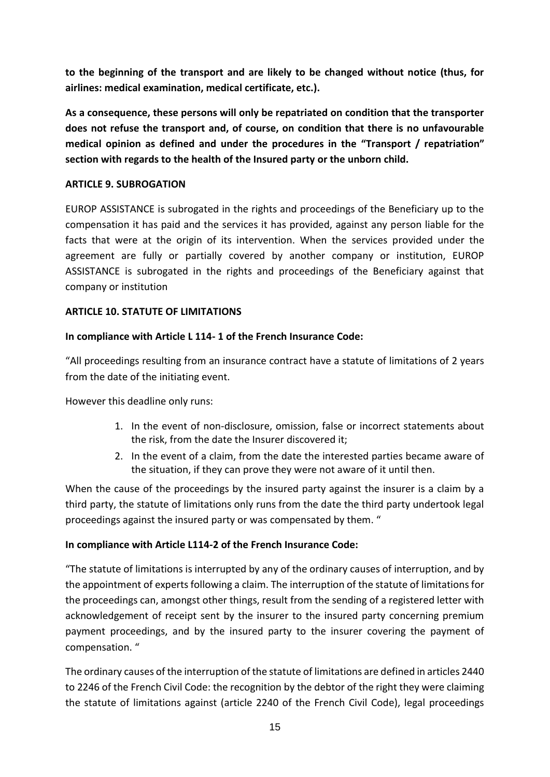**to the beginning of the transport and are likely to be changed without notice (thus, for airlines: medical examination, medical certificate, etc.).**

**As a consequence, these persons will only be repatriated on condition that the transporter does not refuse the transport and, of course, on condition that there is no unfavourable medical opinion as defined and under the procedures in the "Transport / repatriation" section with regards to the health of the Insured party or the unborn child.**

### **ARTICLE 9. SUBROGATION**

EUROP ASSISTANCE is subrogated in the rights and proceedings of the Beneficiary up to the compensation it has paid and the services it has provided, against any person liable for the facts that were at the origin of its intervention. When the services provided under the agreement are fully or partially covered by another company or institution, EUROP ASSISTANCE is subrogated in the rights and proceedings of the Beneficiary against that company or institution

### **ARTICLE 10. STATUTE OF LIMITATIONS**

### **In compliance with Article L 114- 1 of the French Insurance Code:**

"All proceedings resulting from an insurance contract have a statute of limitations of 2 years from the date of the initiating event.

However this deadline only runs:

- 1. In the event of non-disclosure, omission, false or incorrect statements about the risk, from the date the Insurer discovered it;
- 2. In the event of a claim, from the date the interested parties became aware of the situation, if they can prove they were not aware of it until then.

When the cause of the proceedings by the insured party against the insurer is a claim by a third party, the statute of limitations only runs from the date the third party undertook legal proceedings against the insured party or was compensated by them. "

### **In compliance with Article L114-2 of the French Insurance Code:**

"The statute of limitations is interrupted by any of the ordinary causes of interruption, and by the appointment of experts following a claim. The interruption of the statute of limitations for the proceedings can, amongst other things, result from the sending of a registered letter with acknowledgement of receipt sent by the insurer to the insured party concerning premium payment proceedings, and by the insured party to the insurer covering the payment of compensation. "

The ordinary causes of the interruption of the statute of limitations are defined in articles 2440 to 2246 of the French Civil Code: the recognition by the debtor of the right they were claiming the statute of limitations against (article 2240 of the French Civil Code), legal proceedings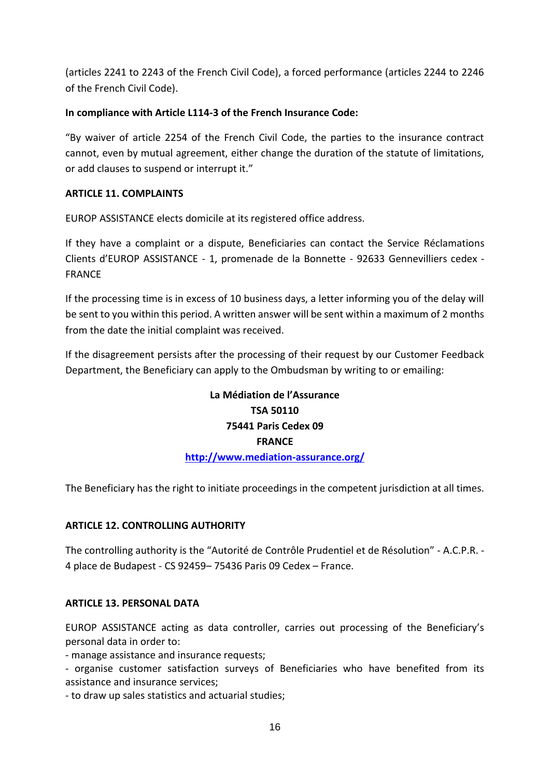(articles 2241 to 2243 of the French Civil Code), a forced performance (articles 2244 to 2246 of the French Civil Code).

### **In compliance with Article L114-3 of the French Insurance Code:**

"By waiver of article 2254 of the French Civil Code, the parties to the insurance contract cannot, even by mutual agreement, either change the duration of the statute of limitations, or add clauses to suspend or interrupt it."

### **ARTICLE 11. COMPLAINTS**

EUROP ASSISTANCE elects domicile at its registered office address.

If they have a complaint or a dispute, Beneficiaries can contact the Service Réclamations Clients d'EUROP ASSISTANCE - 1, promenade de la Bonnette - 92633 Gennevilliers cedex - FRANCE

If the processing time is in excess of 10 business days, a letter informing you of the delay will be sent to you within this period. A written answer will be sent within a maximum of 2 months from the date the initial complaint was received.

If the disagreement persists after the processing of their request by our Customer Feedback Department, the Beneficiary can apply to the Ombudsman by writing to or emailing:

# **La Médiation de l'Assurance TSA 50110 75441 Paris Cedex 09 FRANCE <http://www.mediation-assurance.org/>**

The Beneficiary has the right to initiate proceedings in the competent jurisdiction at all times.

### **ARTICLE 12. CONTROLLING AUTHORITY**

The controlling authority is the "Autorité de Contrôle Prudentiel et de Résolution" - A.C.P.R. - 4 place de Budapest - CS 92459– 75436 Paris 09 Cedex – France.

### **ARTICLE 13. PERSONAL DATA**

EUROP ASSISTANCE acting as data controller, carries out processing of the Beneficiary's personal data in order to:

- manage assistance and insurance requests;

- organise customer satisfaction surveys of Beneficiaries who have benefited from its assistance and insurance services;

- to draw up sales statistics and actuarial studies;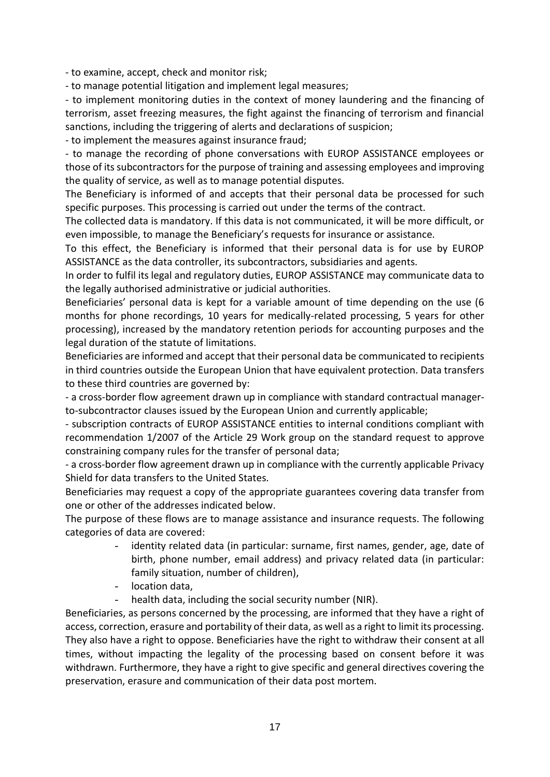- to examine, accept, check and monitor risk;

- to manage potential litigation and implement legal measures;

- to implement monitoring duties in the context of money laundering and the financing of terrorism, asset freezing measures, the fight against the financing of terrorism and financial sanctions, including the triggering of alerts and declarations of suspicion;

- to implement the measures against insurance fraud;

- to manage the recording of phone conversations with EUROP ASSISTANCE employees or those of its subcontractors for the purpose of training and assessing employees and improving the quality of service, as well as to manage potential disputes.

The Beneficiary is informed of and accepts that their personal data be processed for such specific purposes. This processing is carried out under the terms of the contract.

The collected data is mandatory. If this data is not communicated, it will be more difficult, or even impossible, to manage the Beneficiary's requests for insurance or assistance.

To this effect, the Beneficiary is informed that their personal data is for use by EUROP ASSISTANCE as the data controller, its subcontractors, subsidiaries and agents.

In order to fulfil its legal and regulatory duties, EUROP ASSISTANCE may communicate data to the legally authorised administrative or judicial authorities.

Beneficiaries' personal data is kept for a variable amount of time depending on the use (6 months for phone recordings, 10 years for medically-related processing, 5 years for other processing), increased by the mandatory retention periods for accounting purposes and the legal duration of the statute of limitations.

Beneficiaries are informed and accept that their personal data be communicated to recipients in third countries outside the European Union that have equivalent protection. Data transfers to these third countries are governed by:

- a cross-border flow agreement drawn up in compliance with standard contractual managerto-subcontractor clauses issued by the European Union and currently applicable;

- subscription contracts of EUROP ASSISTANCE entities to internal conditions compliant with recommendation 1/2007 of the Article 29 Work group on the standard request to approve constraining company rules for the transfer of personal data;

- a cross-border flow agreement drawn up in compliance with the currently applicable Privacy Shield for data transfers to the United States.

Beneficiaries may request a copy of the appropriate guarantees covering data transfer from one or other of the addresses indicated below.

The purpose of these flows are to manage assistance and insurance requests. The following categories of data are covered:

- identity related data (in particular: surname, first names, gender, age, date of birth, phone number, email address) and privacy related data (in particular: family situation, number of children),
- location data,
- health data, including the social security number (NIR).

Beneficiaries, as persons concerned by the processing, are informed that they have a right of access, correction, erasure and portability of their data, as well as a right to limit its processing. They also have a right to oppose. Beneficiaries have the right to withdraw their consent at all times, without impacting the legality of the processing based on consent before it was withdrawn. Furthermore, they have a right to give specific and general directives covering the preservation, erasure and communication of their data post mortem.